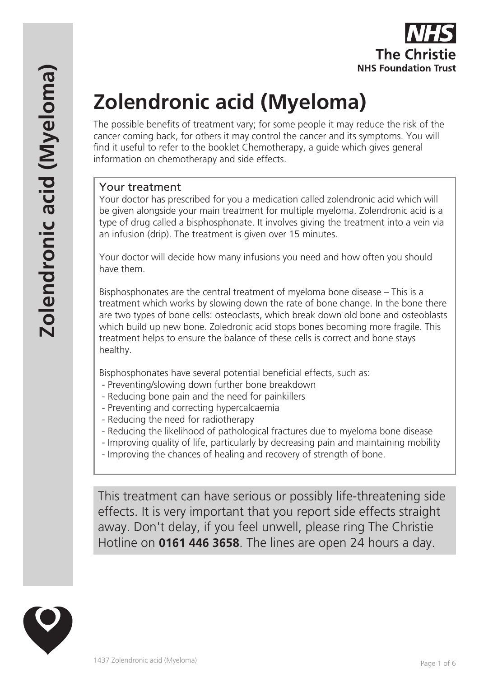

# **Zolendronic acid (Myeloma)**

The possible benefits of treatment vary; for some people it may reduce the risk of the cancer coming back, for others it may control the cancer and its symptoms. You will find it useful to refer to the booklet Chemotherapy, a guide which gives general information on chemotherapy and side effects.

#### Your treatment

Your doctor has prescribed for you a medication called zolendronic acid which will be given alongside your main treatment for multiple myeloma. Zolendronic acid is a type of drug called a bisphosphonate. It involves giving the treatment into a vein via an infusion (drip). The treatment is given over 15 minutes.

Your doctor will decide how many infusions you need and how often you should have them.

Bisphosphonates are the central treatment of myeloma bone disease – This is a treatment which works by slowing down the rate of bone change. In the bone there are two types of bone cells: osteoclasts, which break down old bone and osteoblasts which build up new bone. Zoledronic acid stops bones becoming more fragile. This treatment helps to ensure the balance of these cells is correct and bone stays healthy.

Bisphosphonates have several potential beneficial effects, such as:

- Preventing/slowing down further bone breakdown
- Reducing bone pain and the need for painkillers
- Preventing and correcting hypercalcaemia
- Reducing the need for radiotherapy
- Reducing the likelihood of pathological fractures due to myeloma bone disease
- Improving quality of life, particularly by decreasing pain and maintaining mobility
- Improving the chances of healing and recovery of strength of bone.

This treatment can have serious or possibly life-threatening side effects. It is very important that you report side effects straight away. Don't delay, if you feel unwell, please ring The Christie Hotline on **0161 446 3658**. The lines are open 24 hours a day.

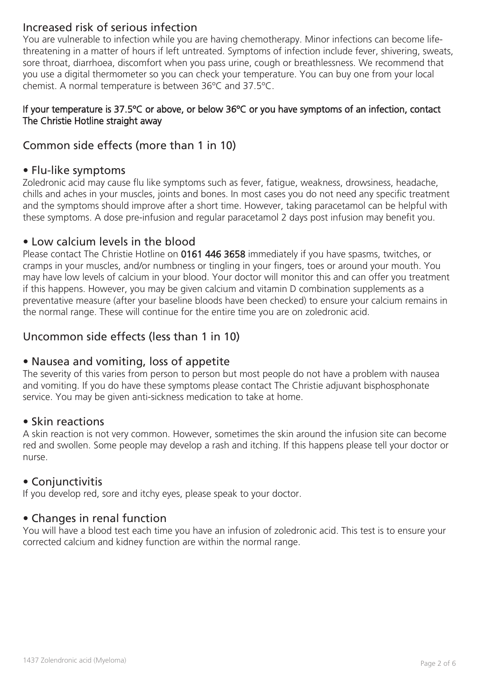# Increased risk of serious infection

You are vulnerable to infection while you are having chemotherapy. Minor infections can become lifethreatening in a matter of hours if left untreated. Symptoms of infection include fever, shivering, sweats, sore throat, diarrhoea, discomfort when you pass urine, cough or breathlessness. We recommend that you use a digital thermometer so you can check your temperature. You can buy one from your local chemist. A normal temperature is between 36ºC and 37.5ºC.

#### If your temperature is 37.5ºC or above, or below 36ºC or you have symptoms of an infection, contact The Christie Hotline straight away

# Common side effects (more than 1 in 10)

## • Flu-like symptoms

Zoledronic acid may cause flu like symptoms such as fever, fatigue, weakness, drowsiness, headache, chills and aches in your muscles, joints and bones. In most cases you do not need any specific treatment and the symptoms should improve after a short time. However, taking paracetamol can be helpful with these symptoms. A dose pre-infusion and regular paracetamol 2 days post infusion may benefit you.

## • Low calcium levels in the blood

Please contact The Christie Hotline on 0161 446 3658 immediately if you have spasms, twitches, or cramps in your muscles, and/or numbness or tingling in your fingers, toes or around your mouth. You may have low levels of calcium in your blood. Your doctor will monitor this and can offer you treatment if this happens. However, you may be given calcium and vitamin D combination supplements as a preventative measure (after your baseline bloods have been checked) to ensure your calcium remains in the normal range. These will continue for the entire time you are on zoledronic acid.

# Uncommon side effects (less than 1 in 10)

## • Nausea and vomiting, loss of appetite

The severity of this varies from person to person but most people do not have a problem with nausea and vomiting. If you do have these symptoms please contact The Christie adjuvant bisphosphonate service. You may be given anti-sickness medication to take at home.

## • Skin reactions

A skin reaction is not very common. However, sometimes the skin around the infusion site can become red and swollen. Some people may develop a rash and itching. If this happens please tell your doctor or nurse.

## • Conjunctivitis

If you develop red, sore and itchy eyes, please speak to your doctor.

## • Changes in renal function

You will have a blood test each time you have an infusion of zoledronic acid. This test is to ensure your corrected calcium and kidney function are within the normal range.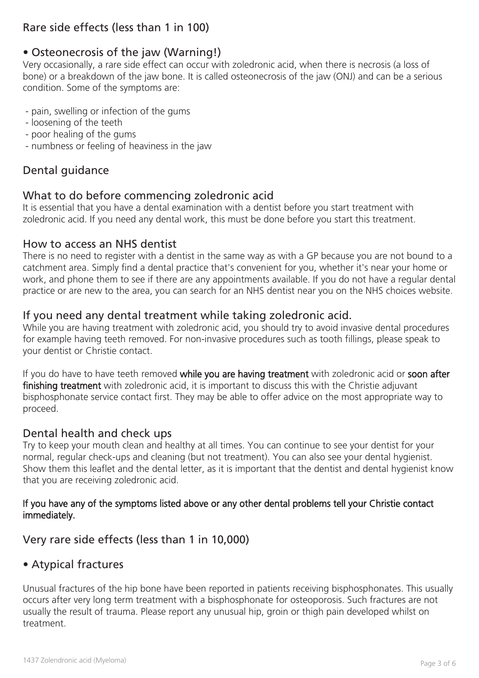# Rare side effects (less than 1 in 100)

# • Osteonecrosis of the jaw (Warning!)

Very occasionally, a rare side effect can occur with zoledronic acid, when there is necrosis (a loss of bone) or a breakdown of the jaw bone. It is called osteonecrosis of the jaw (ONJ) and can be a serious condition. Some of the symptoms are:

- pain, swelling or infection of the gums
- loosening of the teeth
- poor healing of the gums
- numbness or feeling of heaviness in the jaw

## Dental guidance

## What to do before commencing zoledronic acid

It is essential that you have a dental examination with a dentist before you start treatment with zoledronic acid. If you need any dental work, this must be done before you start this treatment.

## How to access an NHS dentist

There is no need to register with a dentist in the same way as with a GP because you are not bound to a catchment area. Simply find a dental practice that's convenient for you, whether it's near your home or work, and phone them to see if there are any appointments available. If you do not have a regular dental practice or are new to the area, you can search for an NHS dentist near you on the NHS choices website.

## If you need any dental treatment while taking zoledronic acid.

While you are having treatment with zoledronic acid, you should try to avoid invasive dental procedures for example having teeth removed. For non-invasive procedures such as tooth fillings, please speak to your dentist or Christie contact.

If you do have to have teeth removed while you are having treatment with zoledronic acid or soon after finishing treatment with zoledronic acid, it is important to discuss this with the Christie adjuvant bisphosphonate service contact first. They may be able to offer advice on the most appropriate way to proceed.

## Dental health and check ups

Try to keep your mouth clean and healthy at all times. You can continue to see your dentist for your normal, regular check-ups and cleaning (but not treatment). You can also see your dental hygienist. Show them this leaflet and the dental letter, as it is important that the dentist and dental hygienist know that you are receiving zoledronic acid.

#### If you have any of the symptoms listed above or any other dental problems tell your Christie contact immediately.

## Very rare side effects (less than 1 in 10,000)

## • Atypical fractures

Unusual fractures of the hip bone have been reported in patients receiving bisphosphonates. This usually occurs after very long term treatment with a bisphosphonate for osteoporosis. Such fractures are not usually the result of trauma. Please report any unusual hip, groin or thigh pain developed whilst on treatment.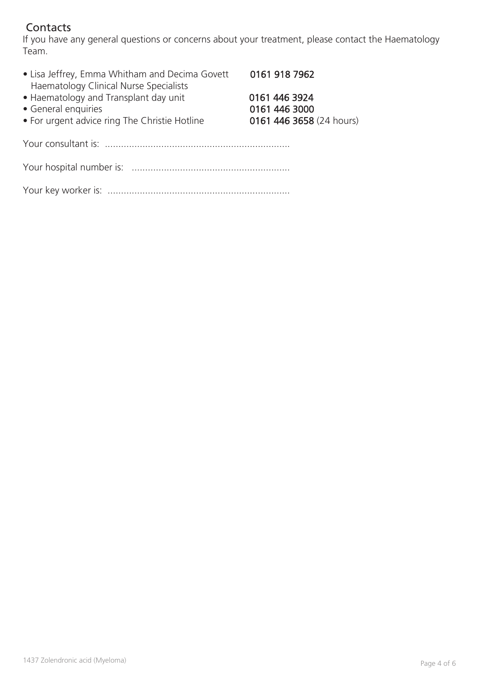# **Contacts**

If you have any general questions or concerns about your treatment, please contact the Haematology Team.

| • Lisa Jeffrey, Emma Whitham and Decima Govett<br>Haematology Clinical Nurse Specialists                      | 0161 918 7962                                              |
|---------------------------------------------------------------------------------------------------------------|------------------------------------------------------------|
| • Haematology and Transplant day unit<br>• General enquiries<br>• For urgent advice ring The Christie Hotline | 0161 446 3924<br>0161 446 3000<br>0161 446 3658 (24 hours) |
|                                                                                                               |                                                            |
|                                                                                                               |                                                            |
|                                                                                                               |                                                            |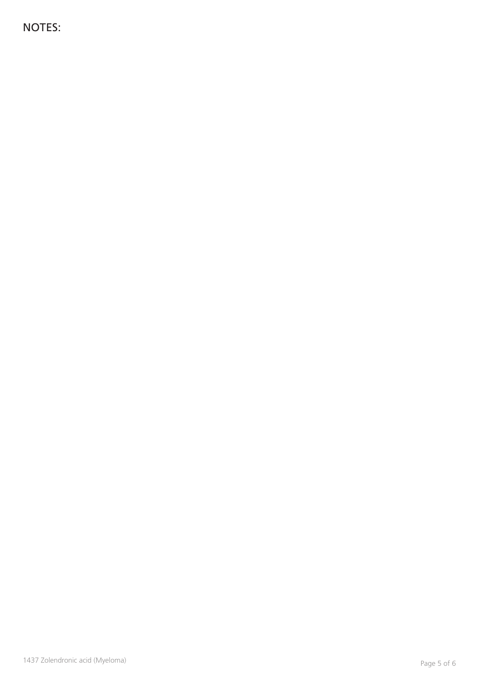NOTES: